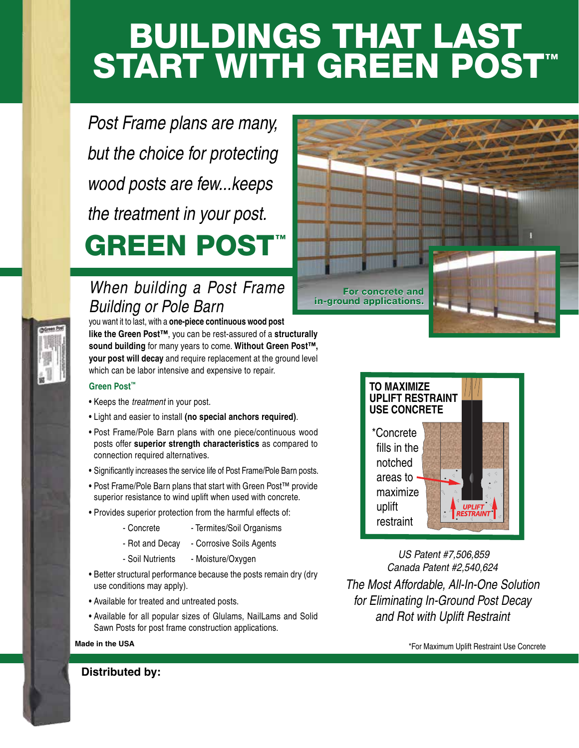# BUILDINGS THAT LAST START WITH GREEN POST™

*Post Frame plans are many, but the choice for protecting wood posts are few...keeps the treatment in your post.* GREEN POST™

### *When building a Post Frame Building or Pole Barn*

you want it to last, with a **one-piece continuous wood post like the Green Post™**, you can be rest-assured of a **structurally sound building** for many years to come. **Without Green Post™, your post will decay** and require replacement at the ground level which can be labor intensive and expensive to repair.

#### **Green Post™**

- Keeps the *treatment* in your post.
- Light and easier to install **(no special anchors required)**.
- Post Frame/Pole Barn plans with one piece/continuous wood posts offer **superior strength characteristics** as compared to connection required alternatives.
- Significantly increases the service life of Post Frame/Pole Barn posts.
- Post Frame/Pole Barn plans that start with Green Post™ provide superior resistance to wind uplift when used with concrete.
- Provides superior protection from the harmful effects of:
	- Concrete Termites/Soil Organisms
	- Rot and Decay Corrosive Soils Agents
	- Soil Nutrients Moisture/Oxygen
- Better structural performance because the posts remain dry (dry use conditions may apply).
- Available for treated and untreated posts.
- Available for all popular sizes of Glulams, NailLams and Solid Sawn Posts for post frame construction applications.





*US Patent #7,506,859 Canada Patent #2,540,624 The Most Affordable, All-In-One Solution for Eliminating In-Ground Post Decay and Rot with Uplift Restraint*

**Made in the USA Magnetic Concrete**  $\sim$  **Magnetic Restricts Test in the USA**  $\sim$  For Maximum Uplift Restraint Use Concrete

**Distributed by:**